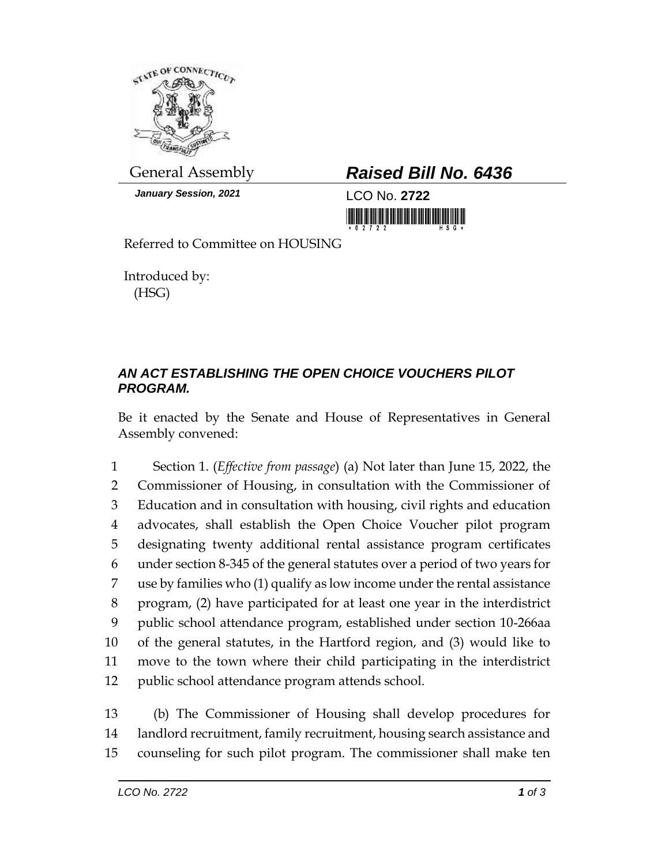

*January Session, 2021* LCO No. **2722**

## General Assembly *Raised Bill No. 6436*

Referred to Committee on HOUSING

Introduced by: (HSG)

## *AN ACT ESTABLISHING THE OPEN CHOICE VOUCHERS PILOT PROGRAM.*

Be it enacted by the Senate and House of Representatives in General Assembly convened:

 Section 1. (*Effective from passage*) (a) Not later than June 15, 2022, the Commissioner of Housing, in consultation with the Commissioner of Education and in consultation with housing, civil rights and education advocates, shall establish the Open Choice Voucher pilot program designating twenty additional rental assistance program certificates under section 8-345 of the general statutes over a period of two years for use by families who (1) qualify as low income under the rental assistance program, (2) have participated for at least one year in the interdistrict public school attendance program, established under section 10-266aa of the general statutes, in the Hartford region, and (3) would like to move to the town where their child participating in the interdistrict public school attendance program attends school.

13 (b) The Commissioner of Housing shall develop procedures for 14 landlord recruitment, family recruitment, housing search assistance and 15 counseling for such pilot program. The commissioner shall make ten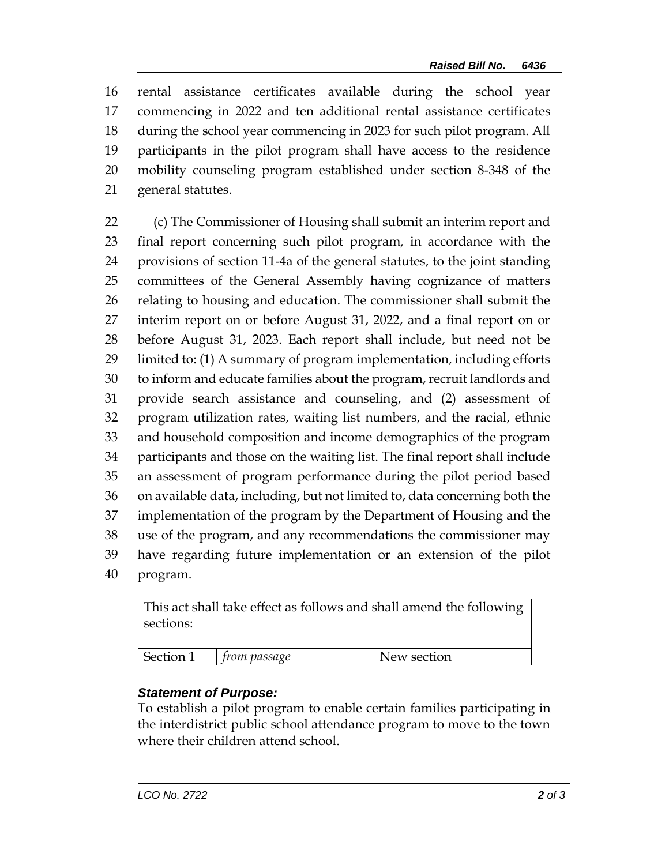rental assistance certificates available during the school year commencing in 2022 and ten additional rental assistance certificates during the school year commencing in 2023 for such pilot program. All participants in the pilot program shall have access to the residence mobility counseling program established under section 8-348 of the general statutes.

 (c) The Commissioner of Housing shall submit an interim report and final report concerning such pilot program, in accordance with the provisions of section 11-4a of the general statutes, to the joint standing committees of the General Assembly having cognizance of matters relating to housing and education. The commissioner shall submit the interim report on or before August 31, 2022, and a final report on or before August 31, 2023. Each report shall include, but need not be limited to: (1) A summary of program implementation, including efforts to inform and educate families about the program, recruit landlords and provide search assistance and counseling, and (2) assessment of program utilization rates, waiting list numbers, and the racial, ethnic and household composition and income demographics of the program participants and those on the waiting list. The final report shall include an assessment of program performance during the pilot period based on available data, including, but not limited to, data concerning both the implementation of the program by the Department of Housing and the use of the program, and any recommendations the commissioner may have regarding future implementation or an extension of the pilot program.

| This act shall take effect as follows and shall amend the following<br>sections: |              |             |
|----------------------------------------------------------------------------------|--------------|-------------|
| Section 1                                                                        | from passage | New section |

## *Statement of Purpose:*

To establish a pilot program to enable certain families participating in the interdistrict public school attendance program to move to the town where their children attend school.